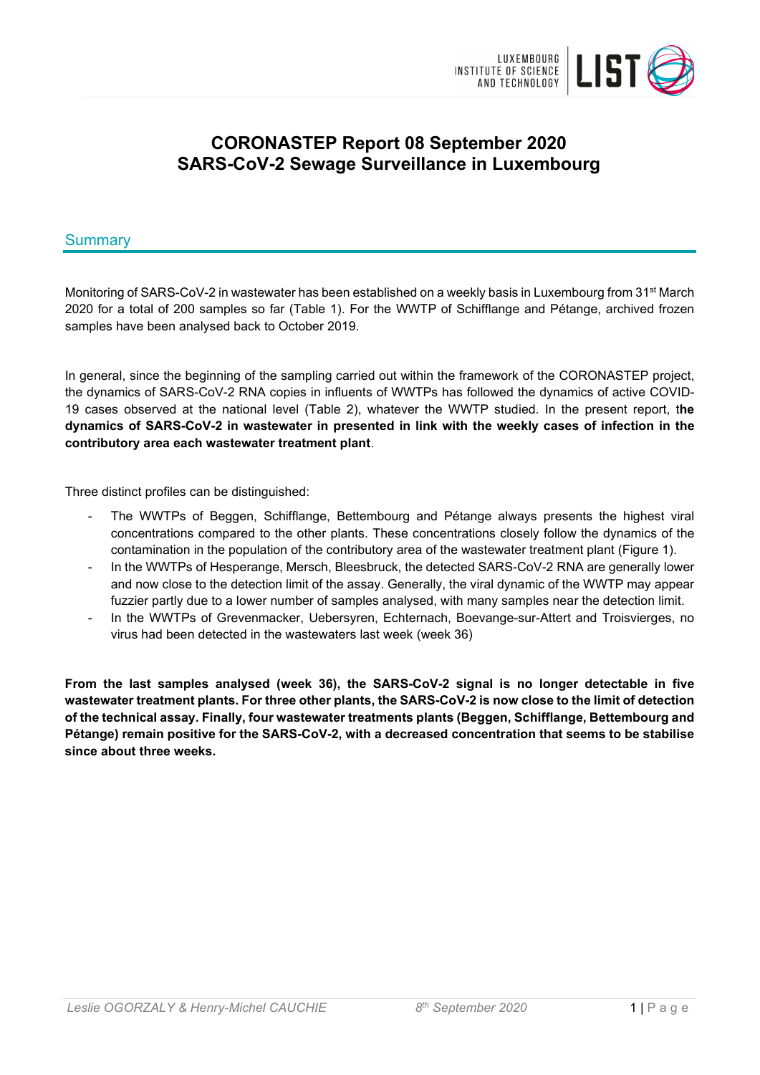

# **CORONASTEP Report 08 September 2020 SARS-CoV-2 Sewage Surveillance in Luxembourg**

## Summary

Monitoring of SARS-CoV-2 in wastewater has been established on a weekly basis in Luxembourg from 31<sup>st</sup> March 2020 for a total of 200 samples so far (Table 1). For the WWTP of Schifflange and Pétange, archived frozen samples have been analysed back to October 2019.

In general, since the beginning of the sampling carried out within the framework of the CORONASTEP project, the dynamics of SARS-CoV-2 RNA copies in influents of WWTPs has followed the dynamics of active COVID-19 cases observed at the national level (Table 2), whatever the WWTP studied. In the present report, t**he dynamics of SARS-CoV-2 in wastewater in presented in link with the weekly cases of infection in the contributory area each wastewater treatment plant**.

Three distinct profiles can be distinguished:

- The WWTPs of Beggen, Schifflange, Bettembourg and Pétange always presents the highest viral concentrations compared to the other plants. These concentrations closely follow the dynamics of the contamination in the population of the contributory area of the wastewater treatment plant (Figure 1).
- In the WWTPs of Hesperange, Mersch, Bleesbruck, the detected SARS-CoV-2 RNA are generally lower and now close to the detection limit of the assay. Generally, the viral dynamic of the WWTP may appear fuzzier partly due to a lower number of samples analysed, with many samples near the detection limit.
- In the WWTPs of Grevenmacker, Uebersyren, Echternach, Boevange-sur-Attert and Troisvierges, no virus had been detected in the wastewaters last week (week 36)

**From the last samples analysed (week 36), the SARS-CoV-2 signal is no longer detectable in five wastewater treatment plants. For three other plants, the SARS-CoV-2 is now close to the limit of detection of the technical assay. Finally, four wastewater treatments plants (Beggen, Schifflange, Bettembourg and Pétange) remain positive for the SARS-CoV-2, with a decreased concentration that seems to be stabilise since about three weeks.**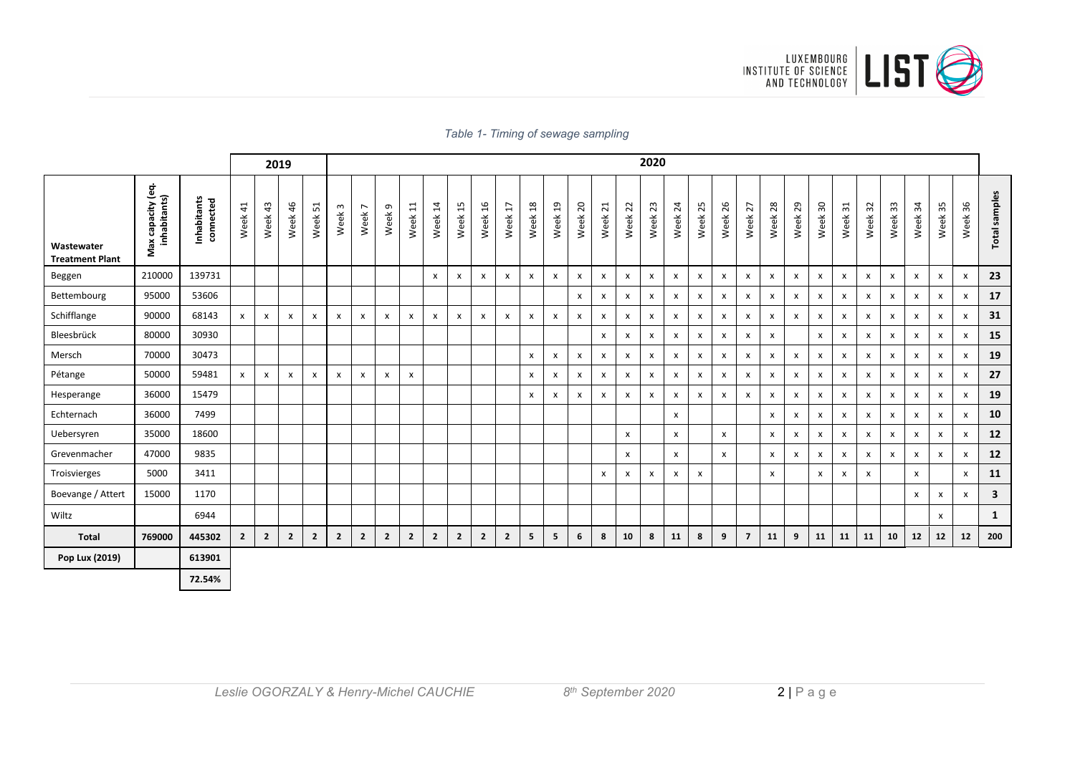

### *Table 1- Timing of sewage sampling*

|                                      |                                   |                          |                |                           | 2019         |                |                      |                        |                |                           |                           |              |                |                |                        |                           |                           |         |                           | 2020       |                           |                    |                    |                           |         |                           |                           |                |                           |              |                           |                    |                           |               |
|--------------------------------------|-----------------------------------|--------------------------|----------------|---------------------------|--------------|----------------|----------------------|------------------------|----------------|---------------------------|---------------------------|--------------|----------------|----------------|------------------------|---------------------------|---------------------------|---------|---------------------------|------------|---------------------------|--------------------|--------------------|---------------------------|---------|---------------------------|---------------------------|----------------|---------------------------|--------------|---------------------------|--------------------|---------------------------|---------------|
| Wastewater<br><b>Treatment Plant</b> | Max capacity (eq.<br>inhabitants) | Inhabitants<br>connected | Week 41        | Week 43                   | Week 46      | Week 51        | $\mathsf{w}$<br>Week | $\overline{ }$<br>Week | თ<br>Week      | $\Xi$<br>Week             | Week 14                   | Week 15      | Week 16        | H<br>Week      | $\frac{8}{18}$<br>Week | $^{29}$<br>Week           | Week <sub>20</sub>        | Week 21 | Week 22                   | 23<br>Week | $\overline{24}$<br>Week   | 25<br>Week         | 26<br>Week         | 27<br>Week                | Week 28 | Week <sub>29</sub>        | Week 30                   | 31<br>Week     | 32<br>Week:               | Week 33      | Week 34                   | Week <sub>35</sub> | Week 36                   | Total samples |
| Beggen                               | 210000                            | 139731                   |                |                           |              |                |                      |                        |                |                           | $\mathsf{x}$              | X            | X              | x              | X                      | $\boldsymbol{\mathsf{x}}$ | $\boldsymbol{\mathsf{x}}$ | X       | $\mathsf{x}$              | X          | $\boldsymbol{\mathsf{x}}$ | $\pmb{\mathsf{x}}$ | $\pmb{\mathsf{X}}$ | $\boldsymbol{\mathsf{x}}$ | x       | X                         | $\pmb{\times}$            | X              | $\boldsymbol{\mathsf{x}}$ | x            | $\mathsf{x}$              | X                  | X                         | 23            |
| Bettembourg                          | 95000                             | 53606                    |                |                           |              |                |                      |                        |                |                           |                           |              |                |                |                        |                           | X                         | X       | X                         | X          | $\boldsymbol{\mathsf{x}}$ | X                  | X                  | x                         | x       | $\mathsf{x}$              | $\boldsymbol{\mathsf{x}}$ | X              | $\mathsf{x}$              | $\mathsf{x}$ | X                         | x                  | $\boldsymbol{\mathsf{x}}$ | 17            |
| Schifflange                          | 90000                             | 68143                    | $\mathsf{x}$   | $\boldsymbol{\mathsf{x}}$ | x            | X              | x                    | X                      | X              | $\boldsymbol{\mathsf{x}}$ | $\boldsymbol{\mathsf{x}}$ | x            | X              | x              | X                      | $\boldsymbol{\mathsf{x}}$ | $\boldsymbol{\mathsf{x}}$ | X       | $\boldsymbol{\mathsf{x}}$ | X          | $\pmb{\times}$            | X                  | $\pmb{\mathsf{X}}$ | $\boldsymbol{\mathsf{x}}$ | x       | $\mathsf{x}$              | $\pmb{\times}$            | X              | x                         | X            | $\pmb{\times}$            | X                  | $\boldsymbol{\mathsf{x}}$ | 31            |
| Bleesbrück                           | 80000                             | 30930                    |                |                           |              |                |                      |                        |                |                           |                           |              |                |                |                        |                           |                           | X       | $\pmb{\mathsf{x}}$        | X          | $\pmb{\mathsf{x}}$        | X                  | $\pmb{\mathsf{X}}$ | $\boldsymbol{\mathsf{x}}$ | x       |                           | $\pmb{\times}$            | $\pmb{\times}$ | $\boldsymbol{\mathsf{x}}$ | $\pmb{\chi}$ | $\boldsymbol{\mathsf{x}}$ | X                  | $\boldsymbol{\mathsf{x}}$ | 15            |
| Mersch                               | 70000                             | 30473                    |                |                           |              |                |                      |                        |                |                           |                           |              |                |                | x                      | X                         | X                         | x       | X                         | X          | $\boldsymbol{\mathsf{x}}$ | X                  | X                  | X                         | X       | $\pmb{\mathsf{x}}$        | $\pmb{\times}$            | x              | x                         | X            | $\boldsymbol{\mathsf{x}}$ | x                  | $\boldsymbol{\mathsf{x}}$ | 19            |
| Pétange                              | 50000                             | 59481                    | X              | $\boldsymbol{\mathsf{x}}$ | x            | X              | x                    | X                      | X              | $\boldsymbol{\mathsf{x}}$ |                           |              |                |                | x                      | X                         | $\boldsymbol{\mathsf{x}}$ | X       | $\mathsf{x}$              | X          | $\pmb{\times}$            | x                  | X                  | $\boldsymbol{\mathsf{x}}$ | X       | X                         | $\pmb{\times}$            | x              | $\boldsymbol{\mathsf{x}}$ | X            | $\pmb{\times}$            | x                  | $\boldsymbol{\mathsf{x}}$ | 27            |
| Hesperange                           | 36000                             | 15479                    |                |                           |              |                |                      |                        |                |                           |                           |              |                |                | x                      | $\pmb{\chi}$              | X                         | X       | X                         | X          | $\boldsymbol{\mathsf{x}}$ | x                  | $\pmb{\chi}$       | x                         | x       | X                         | $\boldsymbol{\mathsf{x}}$ | X              | x                         | X            | $\mathsf{x}$              | x                  | $\boldsymbol{\mathsf{x}}$ | 19            |
| Echternach                           | 36000                             | 7499                     |                |                           |              |                |                      |                        |                |                           |                           |              |                |                |                        |                           |                           |         |                           |            | $\mathbf{x}$              |                    |                    |                           | x       | X                         | $\boldsymbol{\mathsf{x}}$ | X              | x                         | $\pmb{\chi}$ | $\mathsf{x}$              | x                  | $\boldsymbol{\mathsf{x}}$ | 10            |
| Uebersyren                           | 35000                             | 18600                    |                |                           |              |                |                      |                        |                |                           |                           |              |                |                |                        |                           |                           |         | $\boldsymbol{\mathsf{x}}$ |            | $\mathsf{x}$              |                    | $\mathsf{x}$       |                           | x       | $\mathsf{x}$              | $\boldsymbol{\mathsf{x}}$ | $\pmb{\times}$ | $\mathsf{x}$              | $\mathsf{x}$ | X                         | x                  | $\boldsymbol{\mathsf{x}}$ | 12            |
| Grevenmacher                         | 47000                             | 9835                     |                |                           |              |                |                      |                        |                |                           |                           |              |                |                |                        |                           |                           |         | X                         |            | $\mathsf{x}$              |                    | X                  |                           | x       | $\boldsymbol{\mathsf{x}}$ | $\pmb{\times}$            | $\pmb{\times}$ | x                         | X            | X                         | x                  | $\boldsymbol{\mathsf{x}}$ | 12            |
| Troisvierges                         | 5000                              | 3411                     |                |                           |              |                |                      |                        |                |                           |                           |              |                |                |                        |                           |                           | X       | X                         | X          | $\boldsymbol{\mathsf{x}}$ | X                  |                    |                           | x       |                           | $\boldsymbol{\mathsf{x}}$ | $\pmb{\times}$ | $\mathsf{x}$              |              | $\mathsf{x}$              |                    | $\mathsf{x}$              | 11            |
| Boevange / Attert                    | 15000                             | 1170                     |                |                           |              |                |                      |                        |                |                           |                           |              |                |                |                        |                           |                           |         |                           |            |                           |                    |                    |                           |         |                           |                           |                |                           |              | $\boldsymbol{\mathsf{x}}$ | x                  | $\boldsymbol{\mathsf{x}}$ | $\mathbf{3}$  |
| Wiltz                                |                                   | 6944                     |                |                           |              |                |                      |                        |                |                           |                           |              |                |                |                        |                           |                           |         |                           |            |                           |                    |                    |                           |         |                           |                           |                |                           |              |                           | x                  |                           | 1             |
| <b>Total</b>                         | 769000                            | 445302                   | $\overline{2}$ | $\overline{2}$            | $\mathbf{2}$ | $\overline{2}$ | $\overline{2}$       | $\overline{2}$         | $\overline{2}$ | $\overline{2}$            | $\overline{2}$            | $\mathbf{2}$ | $\overline{2}$ | $\overline{2}$ | 5                      | 5                         | 6                         | 8       | 10                        | 8          | 11                        | 8                  | 9                  | $\overline{7}$            | 11      | 9                         | 11                        | 11             | 11                        | 10           | 12                        | 12                 | 12                        | 200           |
| Pop Lux (2019)                       |                                   | 613901                   |                |                           |              |                |                      |                        |                |                           |                           |              |                |                |                        |                           |                           |         |                           |            |                           |                    |                    |                           |         |                           |                           |                |                           |              |                           |                    |                           |               |
|                                      |                                   | 72.54%                   |                |                           |              |                |                      |                        |                |                           |                           |              |                |                |                        |                           |                           |         |                           |            |                           |                    |                    |                           |         |                           |                           |                |                           |              |                           |                    |                           |               |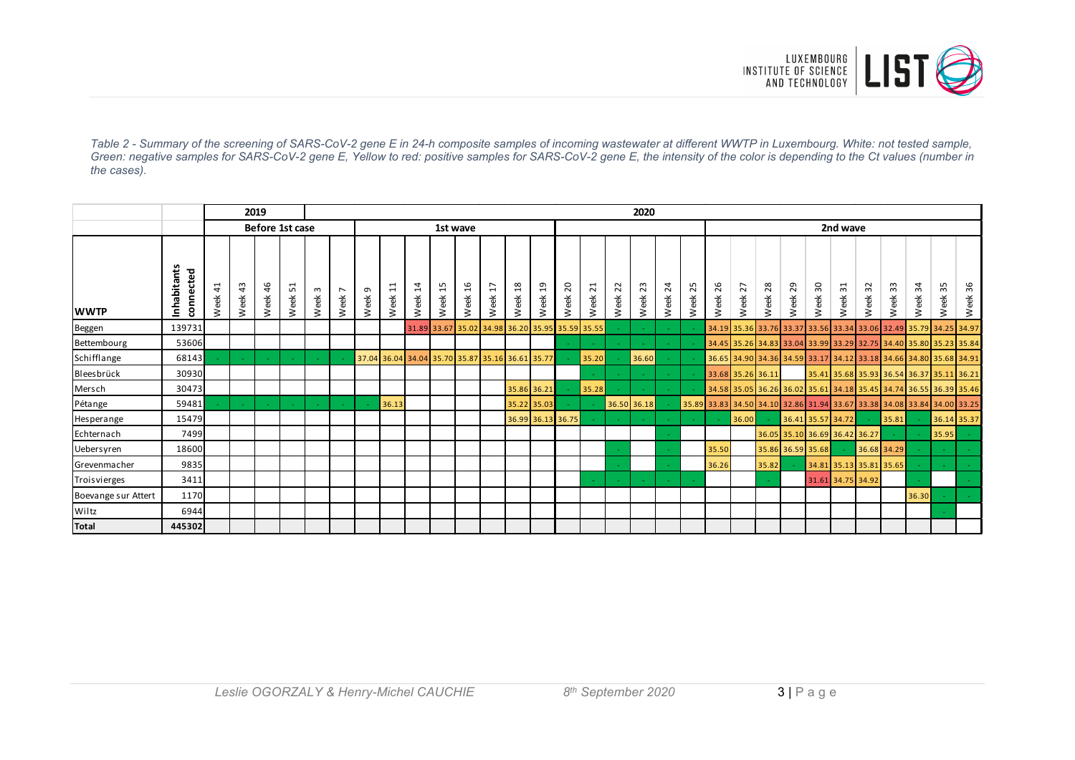

*Table 2 - Summary of the screening of SARS-CoV-2 gene E in 24-h composite samples of incoming wastewater at different WWTP in Luxembourg. White: not tested sample, Green: negative samples for SARS-CoV-2 gene E, Yellow to red: positive samples for SARS-CoV-2 gene E, the intensity of the color is depending to the Ct values (number in the cases).*

|                     |                              |                                    | 2019       |                 |         |                   |                        | 2020      |            |            |            |                             |            |                                                 |            |            |            |                          |             |                 |            |         |                                                                         |                 |                               |                   |            |            |                         |                                           |         |             |  |
|---------------------|------------------------------|------------------------------------|------------|-----------------|---------|-------------------|------------------------|-----------|------------|------------|------------|-----------------------------|------------|-------------------------------------------------|------------|------------|------------|--------------------------|-------------|-----------------|------------|---------|-------------------------------------------------------------------------|-----------------|-------------------------------|-------------------|------------|------------|-------------------------|-------------------------------------------|---------|-------------|--|
|                     |                              |                                    |            | Before 1st case |         |                   |                        | 1st wave  |            |            |            |                             |            |                                                 |            |            |            |                          |             |                 |            |         | 2nd wave                                                                |                 |                               |                   |            |            |                         |                                           |         |             |  |
| <b>WWTP</b>         | Inhabitants<br>cted<br>conne | $\mathbf{\mathbf{t}}$<br>4<br>Week | 43<br>Week | 46<br>Week      | Week 51 | Week <sub>3</sub> | $\overline{ }$<br>Week | G<br>Week | 11<br>Week | 14<br>Week | 15<br>Week | 6<br>$\overline{ }$<br>Week | 17<br>Week | $\frac{8}{2}$<br>Week                           | 19<br>Week | 20<br>Week | 21<br>Week | $\sim$<br>$\sim$<br>Week | 23<br>Week  | $^{24}$<br>Week | 25<br>Week | Week 26 | Week 27                                                                 | Week 28         | Week 29                       | Week 30           | 31<br>Week | 32<br>Week | 33<br>Week              | 34<br>Week                                | Week 35 | Week 36     |  |
| Beggen              | 139731                       |                                    |            |                 |         |                   |                        |           |            |            |            |                             |            | 31.89 33.67 35.02 34.98 36.20 35.95 35.59 35.55 |            |            |            |                          |             |                 |            |         | 34.19 35.36 33.76 33.37                                                 |                 |                               |                   |            |            |                         | 33.56 33.34 33.06 32.49 35.79 34.25 34.97 |         |             |  |
| Bettembourg         | 53606                        |                                    |            |                 |         |                   |                        |           |            |            |            |                             |            |                                                 |            |            |            |                          |             |                 |            |         | 34.45 35.26 34.83 33.04 33.99 33.29 32.75 34.40 35.80 35.23 35.84       |                 |                               |                   |            |            |                         |                                           |         |             |  |
| Schifflange         | 68143                        |                                    |            |                 |         |                   |                        |           |            |            |            |                             |            | 37.04 36.04 34.04 35.70 35.87 35.16 36.61 35.77 |            |            | 35.20      |                          | 36.60       |                 |            |         | 36.65 34.90 34.36 34.59 33.17 34.12 33.18 34.66 34.80 35.68 34.91       |                 |                               |                   |            |            |                         |                                           |         |             |  |
| Bleesbrück          | 30930                        |                                    |            |                 |         |                   |                        |           |            |            |            |                             |            |                                                 |            |            |            |                          |             |                 |            |         | 33.68 35.26 36.11                                                       |                 |                               |                   |            |            |                         | 35.41 35.68 35.93 36.54 36.37 35.11 36.21 |         |             |  |
| Mersch              | 30473                        |                                    |            |                 |         |                   |                        |           |            |            |            |                             |            | 35.86 36.21                                     |            |            | 35.28      |                          |             |                 |            |         | 34.58 35.05 36.26 36.02 35.61 34.18 35.45 34.74 36.55 36.39 35.46       |                 |                               |                   |            |            |                         |                                           |         |             |  |
| Pétange             | 59481                        |                                    |            |                 |         |                   |                        |           | 36.13      |            |            |                             |            | 35.22 35.03                                     |            |            |            |                          | 36.50 36.18 |                 |            |         | 35.89 33.83 34.50 34.10 32.86 31.94 33.67 33.38 34.08 33.84 34.00 33.25 |                 |                               |                   |            |            |                         |                                           |         |             |  |
| Hesperange          | 15479                        |                                    |            |                 |         |                   |                        |           |            |            |            |                             |            | 36.99 36.13 36.75                               |            |            |            |                          |             |                 |            |         | 36.00                                                                   | <b>Contract</b> | 36.41 35.57 34.72             |                   |            |            | 35.81                   |                                           |         | 36.14 35.37 |  |
| Echternach          | 7499                         |                                    |            |                 |         |                   |                        |           |            |            |            |                             |            |                                                 |            |            |            |                          |             |                 |            |         |                                                                         |                 | 36.05 35.10 36.69 36.42 36.27 |                   |            |            |                         |                                           | 35.95   |             |  |
| Uebersyren          | 18600                        |                                    |            |                 |         |                   |                        |           |            |            |            |                             |            |                                                 |            |            |            |                          |             |                 |            | 35.50   |                                                                         |                 | 35.86 36.59 35.68             |                   |            |            | 36.68 34.29             |                                           |         |             |  |
| Grevenmacher        | 9835                         |                                    |            |                 |         |                   |                        |           |            |            |            |                             |            |                                                 |            |            |            |                          |             |                 |            | 36.26   |                                                                         | 35.82           |                               |                   |            |            | 34.81 35.13 35.81 35.65 |                                           |         |             |  |
| Troisvierges        | 3411                         |                                    |            |                 |         |                   |                        |           |            |            |            |                             |            |                                                 |            |            |            |                          |             |                 |            |         |                                                                         |                 |                               | 31.61 34.75 34.92 |            |            |                         |                                           |         |             |  |
| Boevange sur Attert | 1170                         |                                    |            |                 |         |                   |                        |           |            |            |            |                             |            |                                                 |            |            |            |                          |             |                 |            |         |                                                                         |                 |                               |                   |            |            |                         | 36.30                                     |         |             |  |
| Wiltz               | 6944                         |                                    |            |                 |         |                   |                        |           |            |            |            |                             |            |                                                 |            |            |            |                          |             |                 |            |         |                                                                         |                 |                               |                   |            |            |                         |                                           |         |             |  |
| <b>Total</b>        | 445302                       |                                    |            |                 |         |                   |                        |           |            |            |            |                             |            |                                                 |            |            |            |                          |             |                 |            |         |                                                                         |                 |                               |                   |            |            |                         |                                           |         |             |  |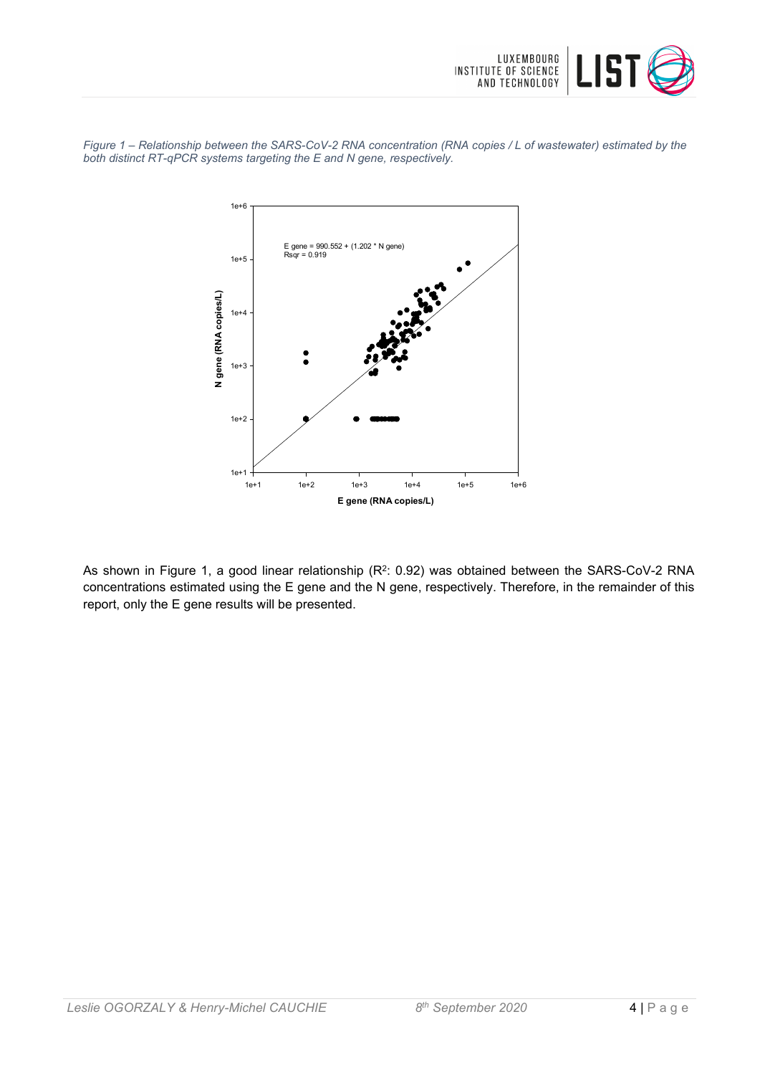

*Figure 1 – Relationship between the SARS-CoV-2 RNA concentration (RNA copies / L of wastewater) estimated by the both distinct RT-qPCR systems targeting the E and N gene, respectively.*



As shown in Figure 1, a good linear relationship (R<sup>2</sup>: 0.92) was obtained between the SARS-CoV-2 RNA concentrations estimated using the E gene and the N gene, respectively. Therefore, in the remainder of this report, only the E gene results will be presented.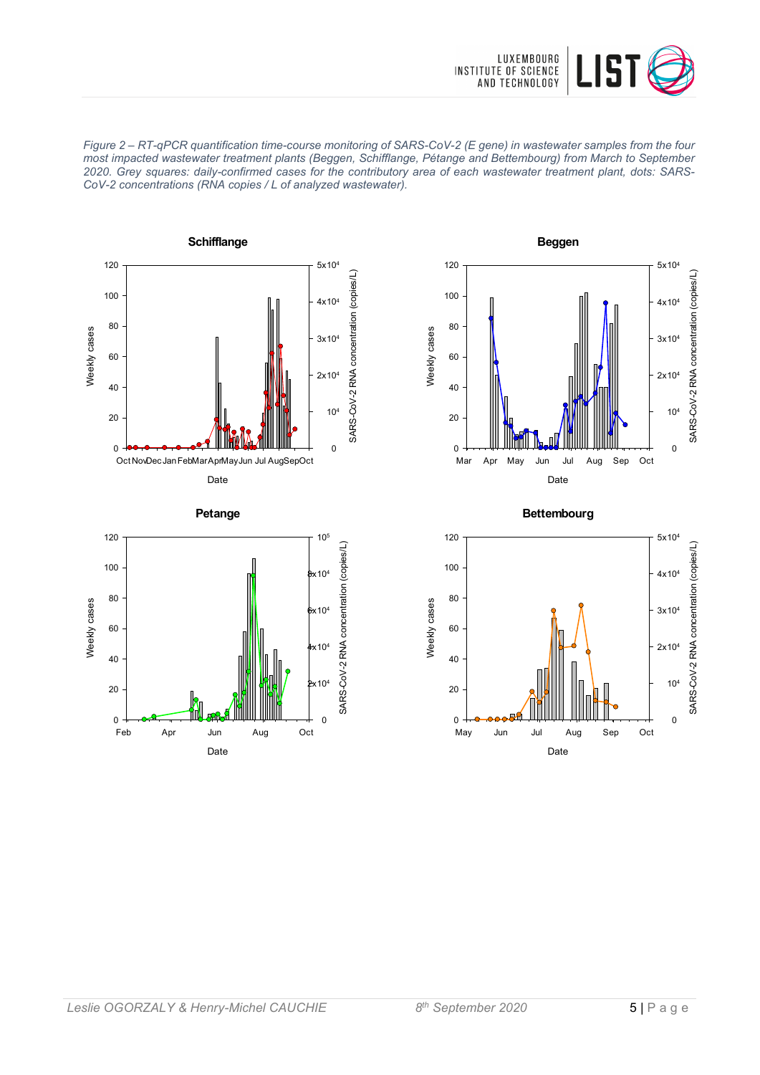

*Figure 2 – RT-qPCR quantification time-course monitoring of SARS-CoV-2 (E gene) in wastewater samples from the four most impacted wastewater treatment plants (Beggen, Schifflange, Pétange and Bettembourg) from March to September 2020. Grey squares: daily-confirmed cases for the contributory area of each wastewater treatment plant, dots: SARS-CoV-2 concentrations (RNA copies / L of analyzed wastewater).*









**Bettembourg**

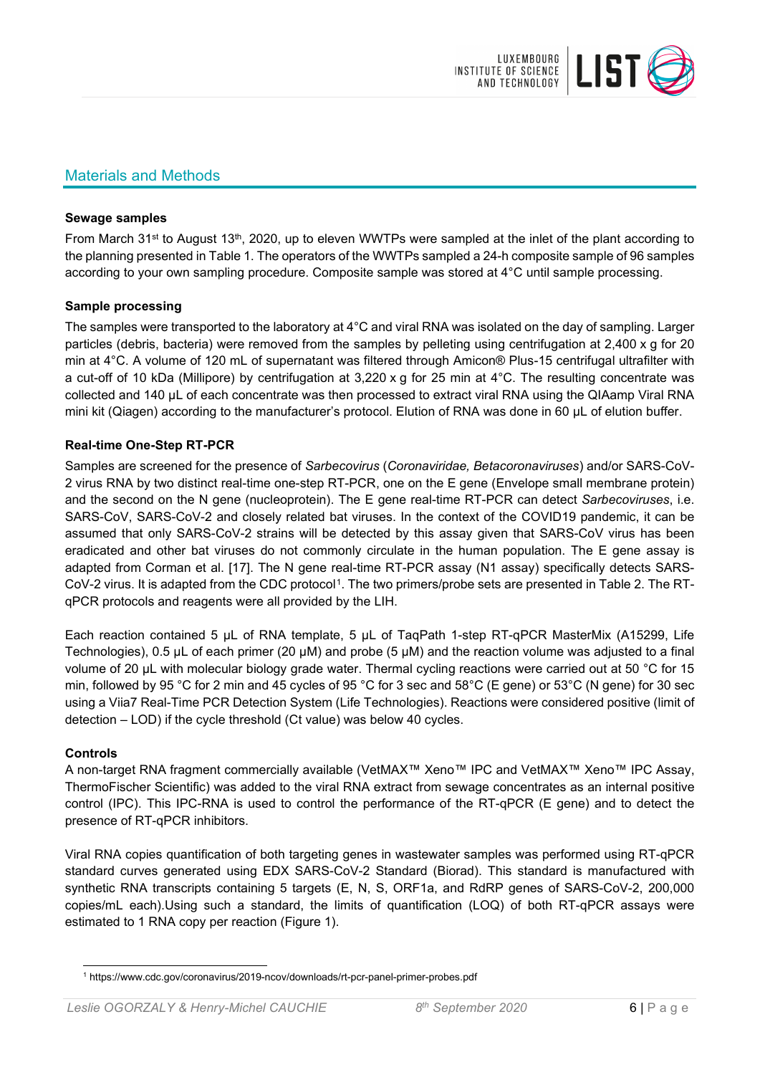

## Materials and Methods

#### **Sewage samples**

From March 31<sup>st</sup> to August 13<sup>th</sup>, 2020, up to eleven WWTPs were sampled at the inlet of the plant according to the planning presented in Table 1. The operators of the WWTPs sampled a 24-h composite sample of 96 samples according to your own sampling procedure. Composite sample was stored at 4°C until sample processing.

#### **Sample processing**

The samples were transported to the laboratory at 4°C and viral RNA was isolated on the day of sampling. Larger particles (debris, bacteria) were removed from the samples by pelleting using centrifugation at 2,400 x g for 20 min at 4°C. A volume of 120 mL of supernatant was filtered through Amicon® Plus-15 centrifugal ultrafilter with a cut-off of 10 kDa (Millipore) by centrifugation at 3,220 x g for 25 min at 4°C. The resulting concentrate was collected and 140 µL of each concentrate was then processed to extract viral RNA using the QIAamp Viral RNA mini kit (Qiagen) according to the manufacturer's protocol. Elution of RNA was done in 60 μL of elution buffer.

## **Real-time One-Step RT-PCR**

Samples are screened for the presence of *Sarbecovirus* (*Coronaviridae, Betacoronaviruses*) and/or SARS-CoV-2 virus RNA by two distinct real-time one-step RT-PCR, one on the E gene (Envelope small membrane protein) and the second on the N gene (nucleoprotein). The E gene real-time RT-PCR can detect *Sarbecoviruses*, i.e. SARS-CoV, SARS-CoV-2 and closely related bat viruses. In the context of the COVID19 pandemic, it can be assumed that only SARS-CoV-2 strains will be detected by this assay given that SARS-CoV virus has been eradicated and other bat viruses do not commonly circulate in the human population. The E gene assay is adapted from Corman et al. [17]. The N gene real-time RT-PCR assay (N1 assay) specifically detects SARS-CoV-2 virus. It is adapted from the CDC protocol[1](#page-5-0). The two primers/probe sets are presented in Table 2. The RTqPCR protocols and reagents were all provided by the LIH.

Each reaction contained 5 μL of RNA template, 5 μL of TaqPath 1-step RT-qPCR MasterMix (A15299, Life Technologies), 0.5 µL of each primer (20 µM) and probe (5 µM) and the reaction volume was adjusted to a final volume of 20 μL with molecular biology grade water. Thermal cycling reactions were carried out at 50 °C for 15 min, followed by 95 °C for 2 min and 45 cycles of 95 °C for 3 sec and 58°C (E gene) or 53°C (N gene) for 30 sec using a Viia7 Real-Time PCR Detection System (Life Technologies). Reactions were considered positive (limit of detection – LOD) if the cycle threshold (Ct value) was below 40 cycles.

#### **Controls**

A non-target RNA fragment commercially available (VetMAX™ Xeno™ IPC and VetMAX™ Xeno™ IPC Assay, ThermoFischer Scientific) was added to the viral RNA extract from sewage concentrates as an internal positive control (IPC). This IPC-RNA is used to control the performance of the RT-qPCR (E gene) and to detect the presence of RT-qPCR inhibitors.

Viral RNA copies quantification of both targeting genes in wastewater samples was performed using RT-qPCR standard curves generated using EDX SARS-CoV-2 Standard (Biorad). This standard is manufactured with synthetic RNA transcripts containing 5 targets (E, N, S, ORF1a, and RdRP genes of SARS-CoV-2, 200,000 copies/mL each).Using such a standard, the limits of quantification (LOQ) of both RT-qPCR assays were estimated to 1 RNA copy per reaction (Figure 1).

<span id="page-5-0"></span><sup>1</sup> https://www.cdc.gov/coronavirus/2019-ncov/downloads/rt-pcr-panel-primer-probes.pdf